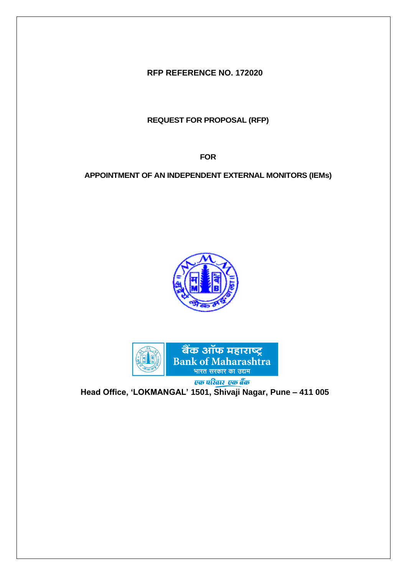**RFP REFERENCE NO. 172020**

**REQUEST FOR PROPOSAL (RFP)**

**FOR**

**APPOINTMENT OF AN INDEPENDENT EXTERNAL MONITORS (IEMs)**





**Head Office, 'LOKMANGAL' 1501, Shivaji Nagar, Pune – 411 005**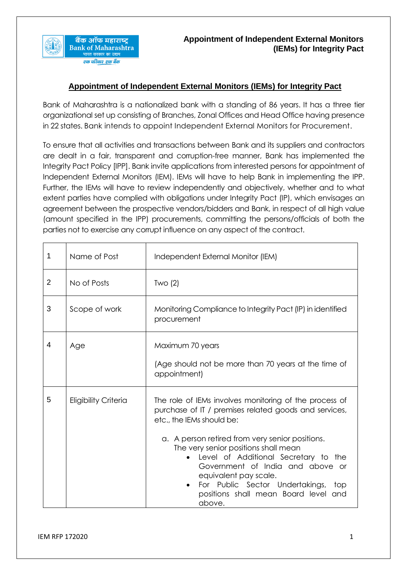

Bank of Maharashtra is a nationalized bank with a standing of 86 years. It has a three tier organizational set up consisting of Branches, Zonal Offices and Head Office having presence in 22 states. Bank intends to appoint Independent External Monitors for Procurement.

To ensure that all activities and transactions between Bank and its suppliers and contractors are dealt in a fair, transparent and corruption-free manner, Bank has implemented the Integrity Pact Policy [IPP]. Bank invite applications from interested persons for appointment of Independent External Monitors (IEM). IEMs will have to help Bank in implementing the IPP. Further, the IEMs will have to review independently and objectively, whether and to what extent parties have complied with obligations under Integrity Pact (IP), which envisages an agreement between the prospective vendors/bidders and Bank, in respect of all high value (amount specified in the IPP) procurements, committing the persons/officials of both the parties not to exercise any corrupt influence on any aspect of the contract.

| 1              | Name of Post                | Independent External Monitor (IEM)                                                                                                                                                                                                                                                                                                                                                                                                                    |
|----------------|-----------------------------|-------------------------------------------------------------------------------------------------------------------------------------------------------------------------------------------------------------------------------------------------------------------------------------------------------------------------------------------------------------------------------------------------------------------------------------------------------|
| $\overline{2}$ | No of Posts                 | Two(2)                                                                                                                                                                                                                                                                                                                                                                                                                                                |
| 3              | Scope of work               | Monitoring Compliance to Integrity Pact (IP) in identified<br>procurement                                                                                                                                                                                                                                                                                                                                                                             |
| 4              | Age                         | Maximum 70 years<br>(Age should not be more than 70 years at the time of<br>appointment)                                                                                                                                                                                                                                                                                                                                                              |
| 5              | <b>Eligibility Criteria</b> | The role of IEMs involves monitoring of the process of<br>purchase of IT / premises related goods and services,<br>etc., the IEMs should be:<br>a. A person retired from very senior positions.<br>The very senior positions shall mean<br>Level of Additional Secretary to the<br>Government of India and above or<br>equivalent pay scale.<br>For Public Sector Undertakings,<br>top<br>$\bullet$<br>positions shall mean Board level and<br>above. |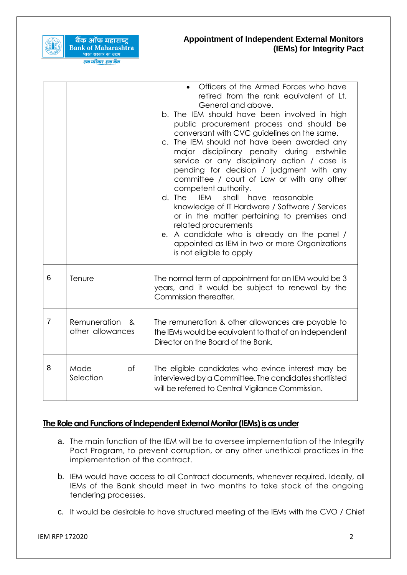

बैंक ऑफ महाराष्ट्र

भारत सरकार का उद्यम<br><mark>एक परिवार एक बैंक</mark>

## **Appointment of Independent External Monitors (IEMs) for Integrity Pact**

|                |                                       | Officers of the Armed Forces who have<br>$\bullet$<br>retired from the rank equivalent of Lt.<br>General and above.<br>b. The IEM should have been involved in high<br>public procurement process and should be<br>conversant with CVC guidelines on the same.<br>c. The IEM should not have been awarded any<br>major disciplinary penalty during erstwhile<br>service or any disciplinary action / case is<br>pending for decision / judgment with any<br>committee / court of Law or with any other<br>competent authority.<br><b>IEM</b><br>shall have reasonable<br>d. The<br>knowledge of IT Hardware / Software / Services<br>or in the matter pertaining to premises and<br>related procurements<br>e. A candidate who is already on the panel /<br>appointed as IEM in two or more Organizations<br>is not eligible to apply |
|----------------|---------------------------------------|---------------------------------------------------------------------------------------------------------------------------------------------------------------------------------------------------------------------------------------------------------------------------------------------------------------------------------------------------------------------------------------------------------------------------------------------------------------------------------------------------------------------------------------------------------------------------------------------------------------------------------------------------------------------------------------------------------------------------------------------------------------------------------------------------------------------------------------|
| 6              | Tenure                                | The normal term of appointment for an IEM would be 3<br>years, and it would be subject to renewal by the<br>Commission thereafter.                                                                                                                                                                                                                                                                                                                                                                                                                                                                                                                                                                                                                                                                                                    |
| $\overline{7}$ | Remuneration<br>ጼ<br>other allowances | The remuneration & other allowances are payable to<br>the IEMs would be equivalent to that of an Independent<br>Director on the Board of the Bank.                                                                                                                                                                                                                                                                                                                                                                                                                                                                                                                                                                                                                                                                                    |
| 8              | Mode<br>of<br>Selection               | The eligible candidates who evince interest may be<br>interviewed by a Committee. The candidates shortlisted<br>will be referred to Central Vigilance Commission.                                                                                                                                                                                                                                                                                                                                                                                                                                                                                                                                                                                                                                                                     |

# The Role and Functions of Independent External Monitor (IEMs) is as under

- a. The main function of the IEM will be to oversee implementation of the Integrity Pact Program, to prevent corruption, or any other unethical practices in the implementation of the contract.
- b. IEM would have access to all Contract documents, whenever required. Ideally, all IEMs of the Bank should meet in two months to take stock of the ongoing tendering processes.
- c. It would be desirable to have structured meeting of the IEMs with the CVO / Chief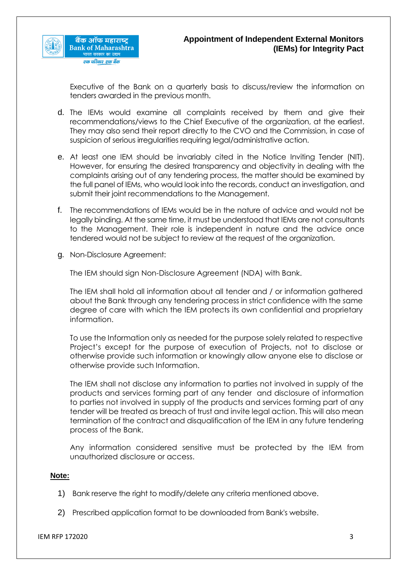

Executive of the Bank on a quarterly basis to discuss/review the information on tenders awarded in the previous month.

- d. The IEMs would examine all complaints received by them and give their recommendations/views to the Chief Executive of the organization, at the earliest. They may also send their report directly to the CVO and the Commission, in case of suspicion of serious irregularities requiring legal/administrative action.
- e. At least one IEM should be invariably cited in the Notice Inviting Tender (NIT). However, for ensuring the desired transparency and objectivity in dealing with the complaints arising out of any tendering process, the matter should be examined by the full panel of IEMs, who would look into the records, conduct an investigation, and submit their joint recommendations to the Management.
- f. The recommendations of IEMs would be in the nature of advice and would not be legally binding. At the same time, it must be understood that IEMs are not consultants to the Management. Their role is independent in nature and the advice once tendered would not be subject to review at the request of the organization.
- g. Non-Disclosure Agreement:

The IEM should sign Non-Disclosure Agreement (NDA) with Bank.

The IEM shall hold all information about all tender and / or information gathered about the Bank through any tendering process in strict confidence with the same degree of care with which the IEM protects its own confidential and proprietary information.

To use the Information only as needed for the purpose solely related to respective Project's except for the purpose of execution of Projects, not to disclose or otherwise provide such information or knowingly allow anyone else to disclose or otherwise provide such Information.

The IEM shall not disclose any information to parties not involved in supply of the products and services forming part of any tender and disclosure of information to parties not involved in supply of the products and services forming part of any tender will be treated as breach of trust and invite legal action. This will also mean termination of the contract and disqualification of the IEM in any future tendering process of the Bank.

Any information considered sensitive must be protected by the IEM from unauthorized disclosure or access.

## **Note:**

- 1) Bank reserve the right to modify/delete any criteria mentioned above.
- 2) Prescribed application format to be downloaded from Bank's website.

IEM RFP 172020 3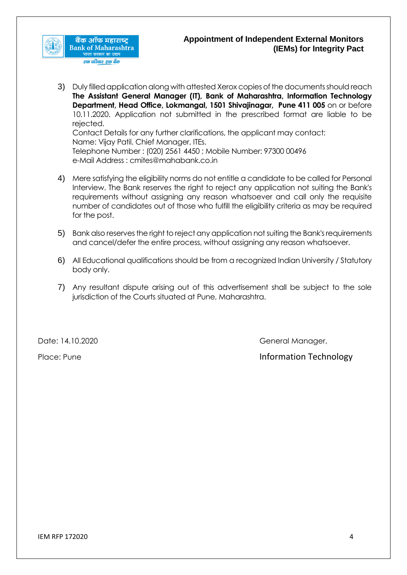

3) Duly filled application along with attested Xerox copies of the documents should reach **The Assistant General Manager (IT), Bank of Maharashtra, Information Technology Department, Head Office, Lokmangal, 1501 Shivajinagar, Pune 411 005** on or before 10.11.2020. Application not submitted in the prescribed format are liable to be rejected. Contact Details for any further clarifications, the applicant may contact: Name: Vijay Patil. Chief Manager, ITEs. Telephone Number : (020) 2561 4450 ; Mobile Number: 97300 00496

e-Mail Address : cmites@mahabank.co.in

- 4) Mere satisfying the eligibility norms do not entitle a candidate to be called for Personal Interview. The Bank reserves the right to reject any application not suiting the Bank's requirements without assigning any reason whatsoever and call only the requisite number of candidates out of those who fulfill the eligibility criteria as may be required for the post.
- 5) Bank also reserves the right to reject any application not suiting the Bank's requirements and cancel/defer the entire process, without assigning any reason whatsoever.
- 6) All Educational qualifications should be from a recognized Indian University / Statutory body only.
- 7) Any resultant dispute arising out of this advertisement shall be subject to the sole jurisdiction of the Courts situated at Pune, Maharashtra.

Date: 14.10.2020 **General Manager, and Science II** General Manager,

Place: Pune Information Technology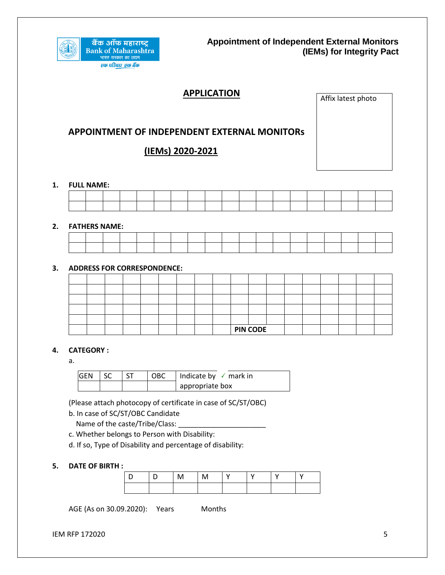

# **APPLICATION**

Affix latest photo

## **APPOINTMENT OF INDEPENDENT EXTERNAL MONITORs**

# **(IEMs) 2020-2021**

#### **1. FULL NAME:**

#### **2. FATHERS NAME:**

#### **3. ADDRESS FOR CORRESPONDENCE:**

|  |  |  |  |  | <b>PIN CODE</b> |  |  |  |  |
|--|--|--|--|--|-----------------|--|--|--|--|

#### **4. CATEGORY :**

a.

| <b>GEN</b> SC |  | <b>OBC</b> | Indicate by $\checkmark$ mark in |
|---------------|--|------------|----------------------------------|
|               |  |            | appropriate box                  |

(Please attach photocopy of certificate in case of SC/ST/OBC)

b. In case of SC/ST/OBC Candidate

Name of the caste/Tribe/Class:

c. Whether belongs to Person with Disability:

d. If so, Type of Disability and percentage of disability:

#### **5. DATE OF BIRTH :**

|  | M | . |  |  |
|--|---|---|--|--|
|  |   |   |  |  |

AGE (As on 30.09.2020): Years Months

**IEM RFP 172020** 5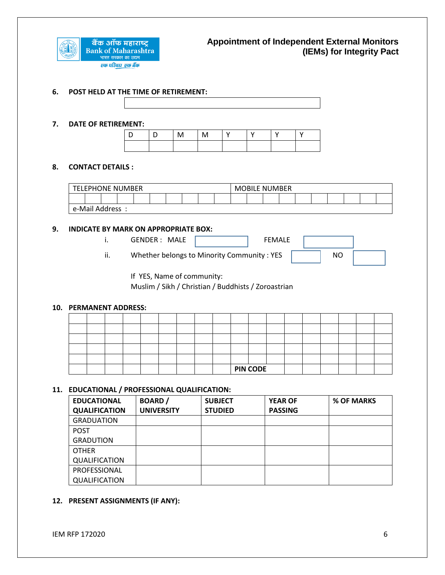

#### **6. POST HELD AT THE TIME OF RETIREMENT:**

#### **7. DATE OF RETIREMENT:**

| $\Box$ | M | $\mathbf{I}$ |  |  |
|--------|---|--------------|--|--|
|        |   |              |  |  |

#### **8. CONTACT DETAILS :**

| <b>TELEPHONE NUMBER</b> |  |  |  |  |  |  | <b>MOBILE NUMBER</b> |  |  |  |  |  |  |  |  |  |  |
|-------------------------|--|--|--|--|--|--|----------------------|--|--|--|--|--|--|--|--|--|--|
|                         |  |  |  |  |  |  |                      |  |  |  |  |  |  |  |  |  |  |
| e-Mail Address:         |  |  |  |  |  |  |                      |  |  |  |  |  |  |  |  |  |  |

#### **9. INDICATE BY MARK ON APPROPRIATE BOX:**

i. GENDER : MALE **FEMALE** 

ii. Whether belongs to Minority Community : YES  $\parallel$  NO

If YES, Name of community:

Muslim / Sikh / Christian / Buddhists / Zoroastrian

#### **10. PERMANENT ADDRESS:**

|  |  |  |  |  | <b>PIN CODE</b> |  |  |  |  |
|--|--|--|--|--|-----------------|--|--|--|--|
|  |  |  |  |  |                 |  |  |  |  |
|  |  |  |  |  |                 |  |  |  |  |
|  |  |  |  |  |                 |  |  |  |  |
|  |  |  |  |  |                 |  |  |  |  |

### **11. EDUCATIONAL / PROFESSIONAL QUALIFICATION:**

| <b>EDUCATIONAL</b>   | <b>BOARD</b> /    | <b>SUBJECT</b> | <b>YEAR OF</b> | % OF MARKS |
|----------------------|-------------------|----------------|----------------|------------|
| <b>QUALIFICATION</b> | <b>UNIVERSITY</b> | <b>STUDIED</b> | <b>PASSING</b> |            |
| <b>GRADUATION</b>    |                   |                |                |            |
| <b>POST</b>          |                   |                |                |            |
| <b>GRADUTION</b>     |                   |                |                |            |
| <b>OTHER</b>         |                   |                |                |            |
| QUALIFICATION        |                   |                |                |            |
| PROFESSIONAL         |                   |                |                |            |
| <b>QUALIFICATION</b> |                   |                |                |            |

#### **12. PRESENT ASSIGNMENTS (IF ANY):**

IEM RFP 172020 6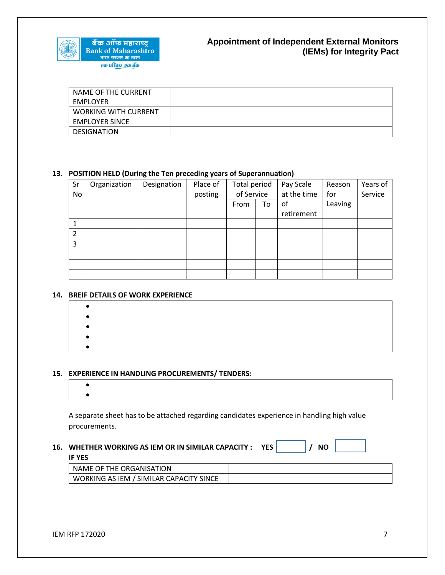

| NAME OF THE CURRENT         |  |
|-----------------------------|--|
| EMPLOYER                    |  |
| <b>WORKING WITH CURRENT</b> |  |
| <b>EMPLOYER SINCE</b>       |  |
| <b>DESIGNATION</b>          |  |

### **13. POSITION HELD (During the Ten preceding years of Superannuation)**

| Sr             | Organization | Designation | Place of | Total period |    | Pay Scale   | Reason  | Years of |
|----------------|--------------|-------------|----------|--------------|----|-------------|---------|----------|
| No             |              |             | posting  | of Service   |    | at the time | for     | Service  |
|                |              |             |          | From         | To | of          | Leaving |          |
|                |              |             |          |              |    | retirement  |         |          |
| 1              |              |             |          |              |    |             |         |          |
| $\overline{2}$ |              |             |          |              |    |             |         |          |
| 3              |              |             |          |              |    |             |         |          |
|                |              |             |          |              |    |             |         |          |
|                |              |             |          |              |    |             |         |          |
|                |              |             |          |              |    |             |         |          |

#### **14. BREIF DETAILS OF WORK EXPERIENCE**

  $\bullet$  $\bullet$  $\bullet$  $\bullet$ 

#### **15. EXPERIENCE IN HANDLING PROCUREMENTS/ TENDERS:**

A separate sheet has to be attached regarding candidates experience in handling high value procurements.

#### **16. WHETHER WORKING AS IEM OR IN SIMILAR CAPACITY : YES / NO**

#### **IF YES**

| NAME OF THE ORGANISATION                |  |
|-----------------------------------------|--|
| WORKING AS IEM / SIMILAR CAPACITY SINCE |  |